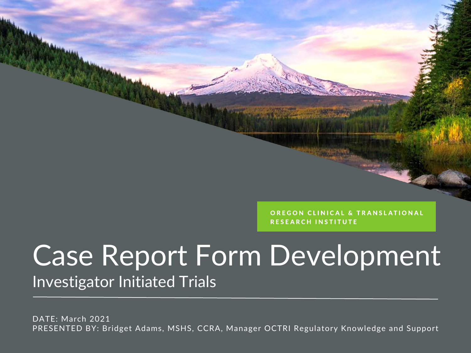OREGON CLINICAL & TRANSLATIONAL **RESEARCH INSTITUTE** 

#### Case Report Form Development Investigator Initiated Trials

DATE: March 2021 PRESENTED BY: Bridget Adams, MSHS, CCRA, Manager OCTRI Regulatory Knowledge and Support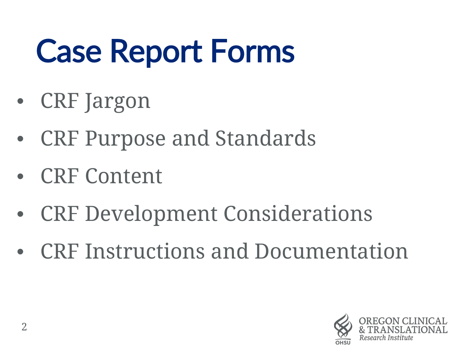## Case Report Forms

- CRF Jargon
- CRF Purpose and Standards
- CRF Content
- CRF Development Considerations
- CRF Instructions and Documentation

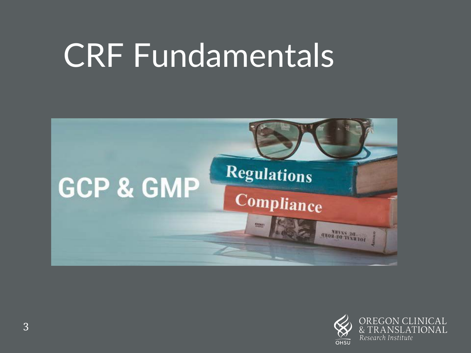### CRF Fundamentals



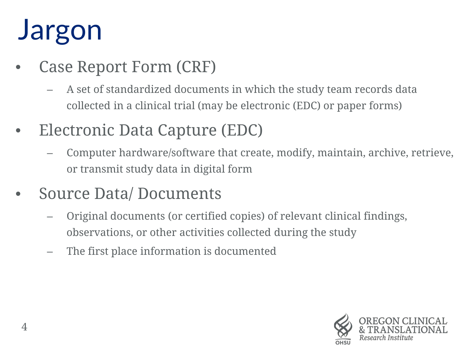### Jargon

- Case Report Form (CRF)
	- A set of standardized documents in which the study team records data collected in a clinical trial (may be electronic (EDC) or paper forms)
- Electronic Data Capture (EDC)
	- Computer hardware/software that create, modify, maintain, archive, retrieve, or transmit study data in digital form
- Source Data/Documents
	- Original documents (or certified copies) of relevant clinical findings, observations, or other activities collected during the study
	- The first place information is documented

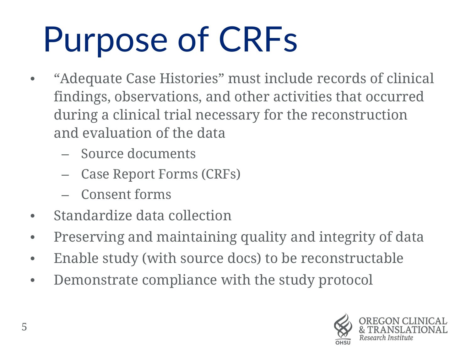## Purpose of CRFs

- "Adequate Case Histories" must include records of clinical findings, observations, and other activities that occurred during a clinical trial necessary for the reconstruction and evaluation of the data
	- Source documents
	- Case Report Forms (CRFs)
	- Consent forms
- Standardize data collection
- Preserving and maintaining quality and integrity of data
- Enable study (with source docs) to be reconstructable
- Demonstrate compliance with the study protocol

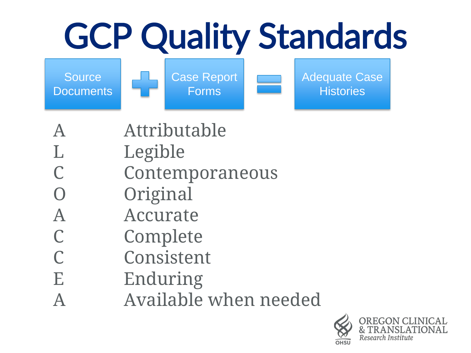# GCP Quality Standards

**Source Documents** 





- A Attributable
- L Legible
- C Contemporaneous
- O Original
- A Accurate
- C Complete
- C Consistent
- E Enduring
- A Available when needed

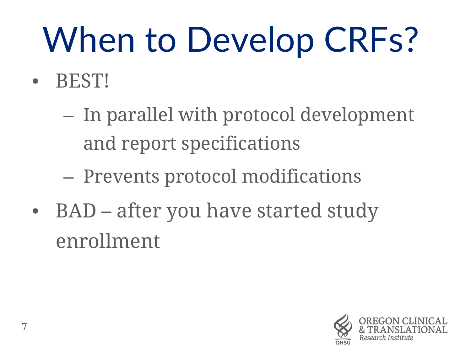# When to Develop CRFs?

- BEST!
	- In parallel with protocol development and report specifications
	- Prevents protocol modifications
- BAD after you have started study enrollment

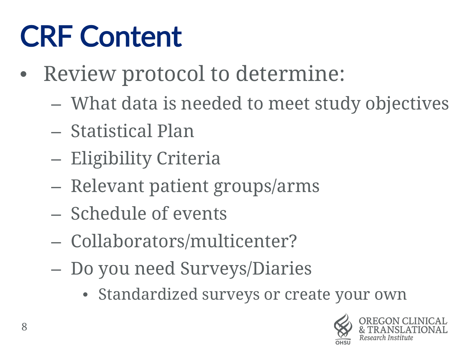### CRF Content

- Review protocol to determine:
	- What data is needed to meet study objectives
	- Statistical Plan
	- Eligibility Criteria
	- Relevant patient groups/arms
	- Schedule of events
	- Collaborators/multicenter?
	- Do you need Surveys/Diaries
		- Standardized surveys or create your own

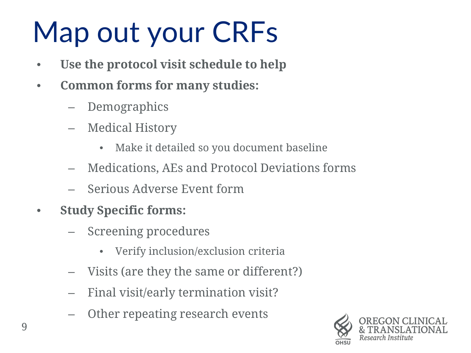### Map out your CRFs

- Use the protocol visit schedule to help
- **Common forms for many studies:** 
	- Demographics
	- Medical History
		- Make it detailed so you document baseline
	- Medications, AEs and Protocol Deviations forms
	- Serious Adverse Event form
- **Study Specific forms:**
	- Screening procedures
		- Verify inclusion/exclusion criteria
	- Visits (are they the same or different?)
	- Final visit/early termination visit?
	- Other repeating research events

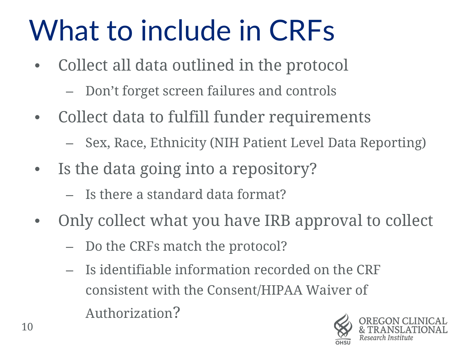### What to include in CRFs

- Collect all data outlined in the protocol
	- Don't forget screen failures and controls
- Collect data to fulfill funder requirements
	- Sex, Race, Ethnicity (NIH Patient Level Data Reporting)
- Is the data going into a repository?
	- Is there a standard data format?
- Only collect what you have IRB approval to collect
	- Do the CRFs match the protocol?
	- Is identifiable information recorded on the CRF consistent with the Consent/HIPAA Waiver of Authorization?

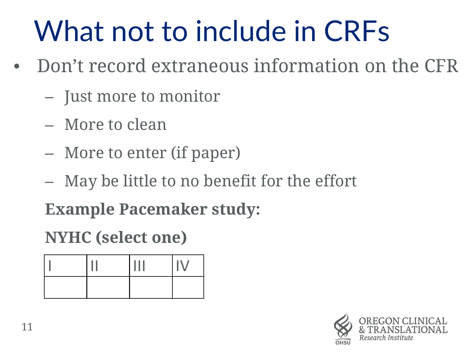### What not to include in CRFs

- Don't record extraneous information on the CFR
	- Just more to monitor
	- More to clean
	- More to enter (if paper)
	- May be little to no benefit for the effort

**Example Pacemaker study:**

**NYHC (select one)**

|  | ٠ |  |
|--|---|--|
|  |   |  |

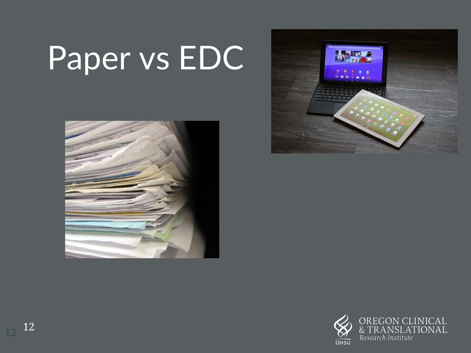## Paper vs EDC





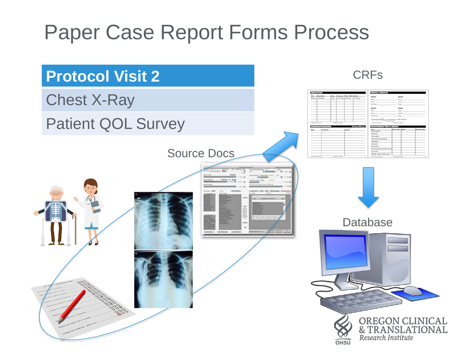#### Paper Case Report Forms Process

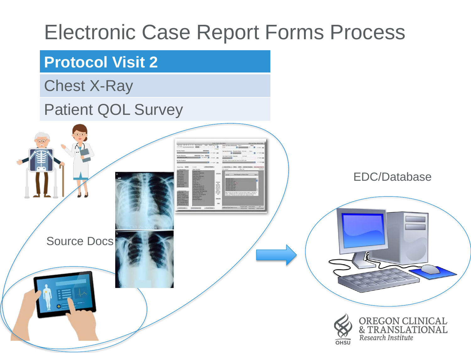#### Electronic Case Report Forms Process

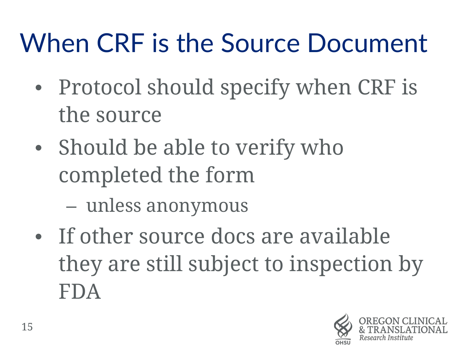### When CRF is the Source Document

- Protocol should specify when CRF is the source
- Should be able to verify who completed the form
	- unless anonymous
- If other source docs are available they are still subject to inspection by FDA

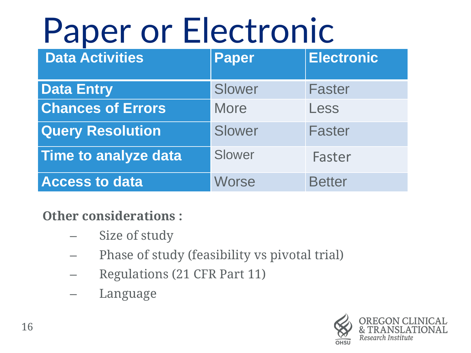## Paper or Electronic

| <b>Data Activities</b>      | <b>Paper</b> | <b>Electronic</b> |
|-----------------------------|--------------|-------------------|
| <b>Data Entry</b>           | Slower       | <b>Faster</b>     |
| <b>Chances of Errors</b>    | <b>More</b>  | Less              |
| <b>Query Resolution</b>     | Slower       | <b>Faster</b>     |
| <b>Time to analyze data</b> | Slower       | Faster            |
| <b>Access to data</b>       | <b>Worse</b> | <b>Better</b>     |

#### **Other considerations :**

- Size of study
- Phase of study (feasibility vs pivotal trial)
- Regulations (21 CFR Part 11)
- Language

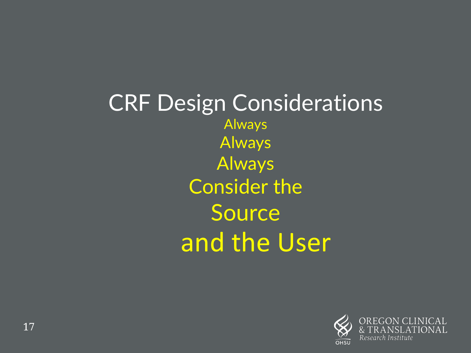CRF Design Considerations Always **Always** Always Consider the Source and the User

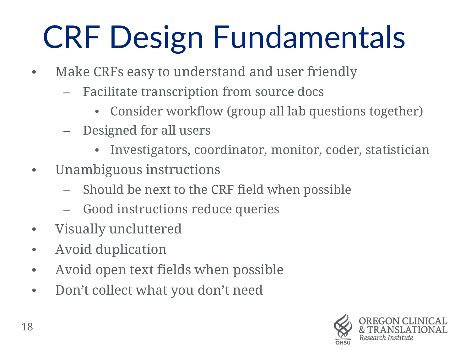## CRF Design Fundamentals

- Make CRFs easy to understand and user friendly
	- Facilitate transcription from source docs
		- Consider workflow (group all lab questions together)
	- Designed for all users
		- Investigators, coordinator, monitor, coder, statistician
- Unambiguous instructions
	- Should be next to the CRF field when possible
	- Good instructions reduce queries
- Visually uncluttered
- Avoid duplication
- Avoid open text fields when possible
- Don't collect what you don't need

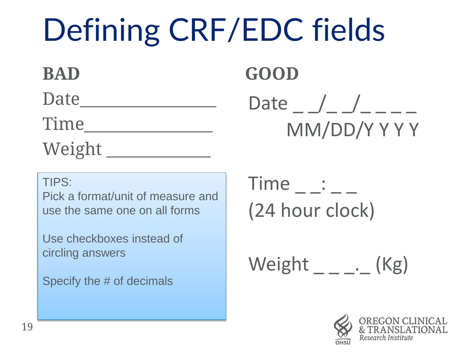## Defining CRF/EDC fields

**BAD**  Date the set of  $\overline{a}$ Time Weight \_\_\_\_\_\_\_\_\_\_\_\_\_

**GOOD** Date \_ \_/\_ \_/\_ \_ \_ \_ MM/DD/Y Y Y Y

TIPS:

Pick a format/unit of measure and use the same one on all forms

Use checkboxes instead of circling answers

Specify the # of decimals

 $Time$   $\_\;\_\;\_\;\_\;\_$ (24 hour clock)

Weight . (Kg)

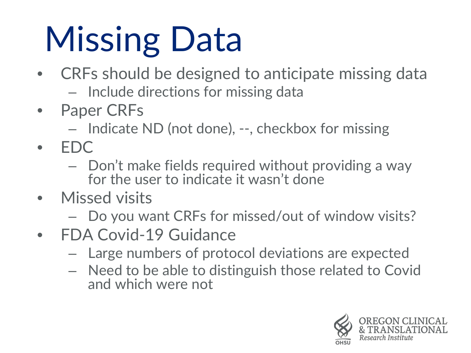# Missing Data

- CRFs should be designed to anticipate missing data
	- Include directions for missing data
- Paper CRFs
	- Indicate ND (not done), --, checkbox for missing
- EDC
	- Don't make fields required without providing a way for the user to indicate it wasn't done
- Missed visits
	- Do you want CRFs for missed/out of window visits?
- FDA Covid-19 Guidance
	- Large numbers of protocol deviations are expected
	- Need to be able to distinguish those related to Covid and which were not

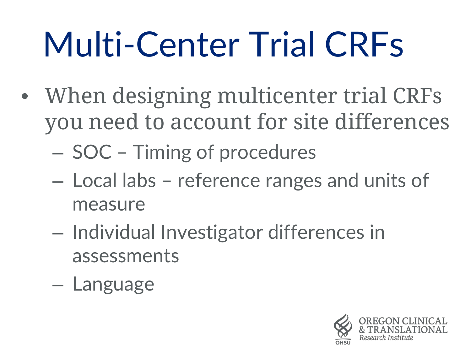## Multi-Center Trial CRFs

- When designing multicenter trial CRFs you need to account for site differences
	- SOC Timing of procedures
	- Local labs reference ranges and units of measure
	- Individual Investigator differences in assessments
	- Language

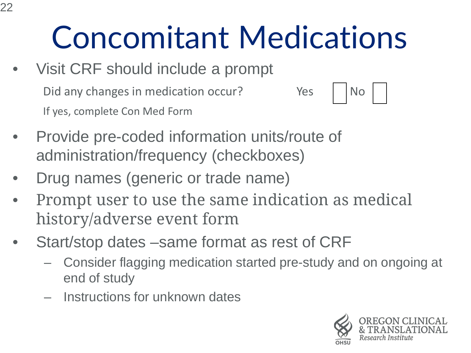### Concomitant Medications

- Visit CRF should include a prompt Did any changes in medication occur? The Yes No If yes, complete Con Med Form
- Provide pre-coded information units/route of administration/frequency (checkboxes)
- Drug names (generic or trade name)
- Prompt user to use the same indication as medical history/adverse event form
- Start/stop dates –same format as rest of CRF
	- Consider flagging medication started pre-study and on ongoing at end of study
	- Instructions for unknown dates

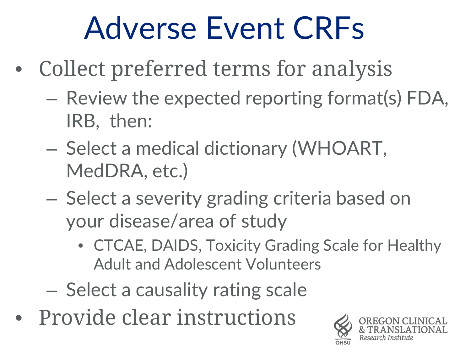### Adverse Event CRFs

- Collect preferred terms for analysis
	- Review the expected reporting format(s) FDA, IRB, then:
	- Select a medical dictionary (WHOART, MedDRA, etc.)
	- Select a severity grading criteria based on your disease/area of study
		- CTCAE, DAIDS, Toxicity Grading Scale for Healthy Adult and Adolescent Volunteers
	- Select a causality rating scale
- Provide clear instructions

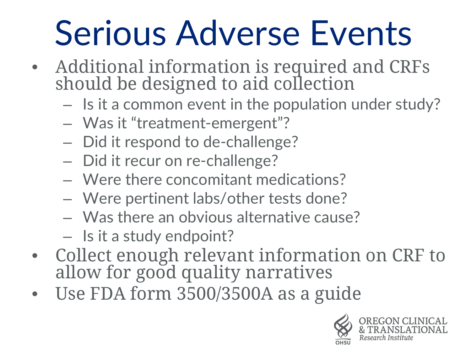## Serious Adverse Events

- Additional information is required and CRFs should be designed to aid collection
	- Is it a common event in the population under study?
	- Was it "treatment-emergent"?
	- Did it respond to de-challenge?
	- Did it recur on re-challenge?
	- Were there concomitant medications?
	- Were pertinent labs/other tests done?
	- Was there an obvious alternative cause?
	- Is it a study endpoint?
- Collect enough relevant information on CRF to allow for good quality narratives
- Use FDA form 3500/3500A as a guide

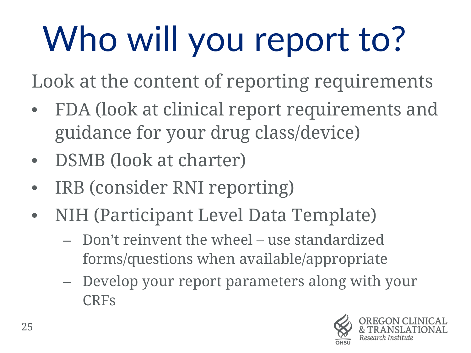# Who will you report to?

Look at the content of reporting requirements

- FDA (look at clinical report requirements and guidance for your drug class/device)
- DSMB (look at charter)
- IRB (consider RNI reporting)
- NIH (Participant Level Data Template)
	- Don't reinvent the wheel use standardized forms/questions when available/appropriate
	- Develop your report parameters along with your CRFs

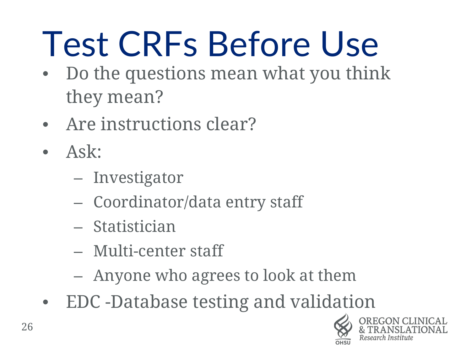## Test CRFs Before Use

- Do the questions mean what you think they mean?
- Are instructions clear?
- Ask:
	- Investigator
	- Coordinator/data entry staff
	- Statistician
	- Multi-center staff
	- Anyone who agrees to look at them
- EDC -Database testing and validation

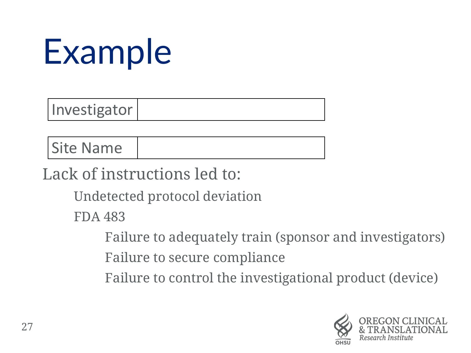## Example

Investigator

Site Name

Lack of instructions led to:

Undetected protocol deviation

FDA 483

Failure to adequately train (sponsor and investigators)

Failure to secure compliance

Failure to control the investigational product (device)

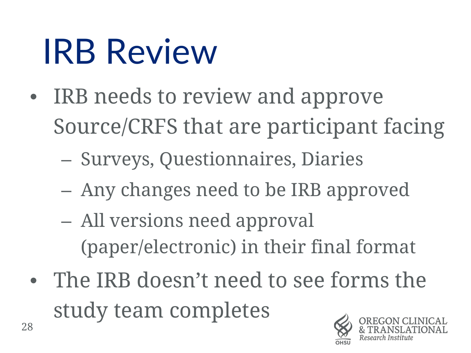## IRB Review

- IRB needs to review and approve Source/CRFS that are participant facing
	- Surveys, Questionnaires, Diaries
	- Any changes need to be IRB approved
	- All versions need approval (paper/electronic) in their final format
- The IRB doesn't need to see forms the study team completes

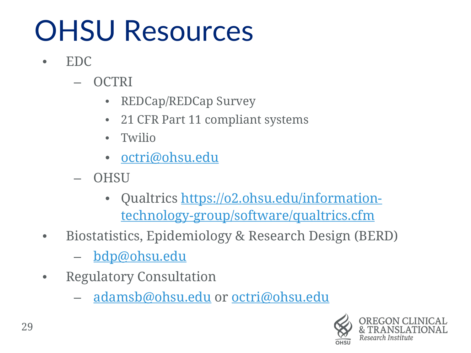### OHSU Resources

- EDC
	- OCTRI
		- REDCap/REDCap Survey
		- 21 CFR Part 11 compliant systems
		- Twilio
		- [octri@ohsu.edu](mailto:octri@ohsu.edu)
	- OHSU
		- Qualtrics https://o2.ohsu.edu/information[technology-group/software/qualtrics.cfm](https://o2.ohsu.edu/information-technology-group/software/qualtrics.cfm)
- Biostatistics, Epidemiology & Research Design (BERD)
	- [bdp@ohsu.edu](mailto:bdp@ohsu.edu)
- Regulatory Consultation
	- [adamsb@ohsu.edu](mailto:adamsb@ohsu.edu) or [octri@ohsu.edu](mailto:octri@ohsu.edu)